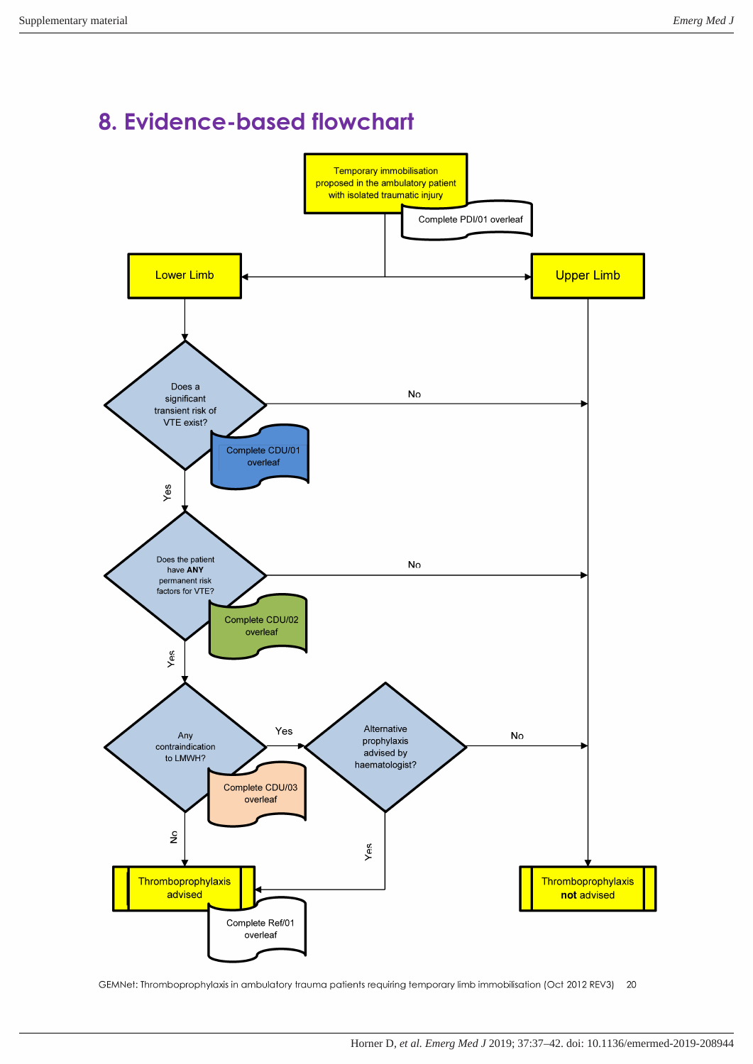# 8. Evidence-based flowchart



GEMNet: Thromboprophylaxis in ambulatory trauma patients requiring temporary limb immobilisation (Oct 2012 REV3) 20